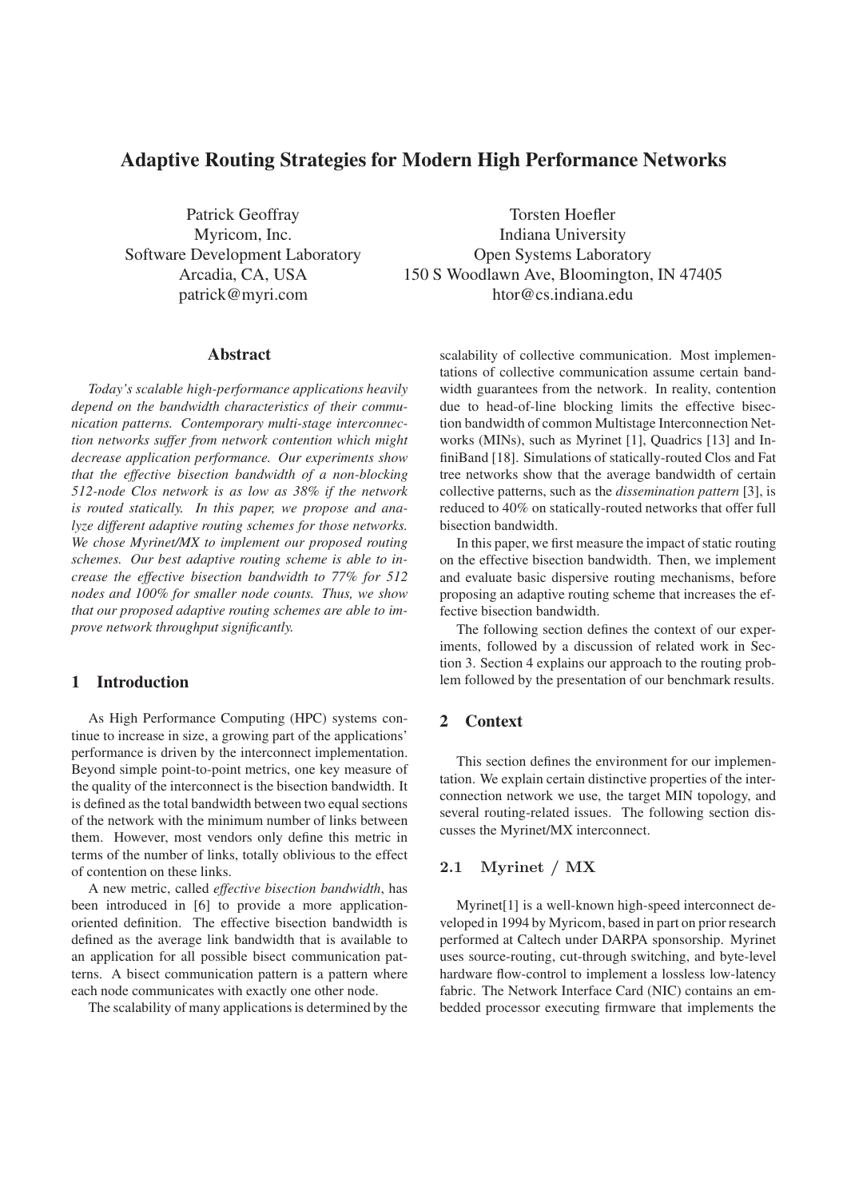# **Adaptive Routing Strategies for Modern High Performance Networks**

Patrick Geoffray Myricom, Inc. Software Development Laboratory Arcadia, CA, USA patrick@myri.com

#### **Abstract**

*Today's scalable high-performance applications heavily depend on the bandwidth characteristics of their communication patterns. Contemporary multi-stage interconnection networks suffer from network contention which might decrease application performance. Our experiments show that the effective bisection bandwidth of a non-blocking 512-node Clos network is as low as 38% if the network is routed statically. In this paper, we propose and analyze different adaptive routing schemes for those networks. We chose Myrinet/MX to implement our proposed routing schemes. Our best adaptive routing scheme is able to increase the effective bisection bandwidth to 77% for 512 nodes and 100% for smaller node counts. Thus, we show that our proposed adaptive routing schemes are able to improve network throughput significantly.*

## **1 Introduction**

As High Performance Computing (HPC) systems continue to increase in size, a growing part of the applications' performance is driven by the interconnect implementation. Beyond simple point-to-point metrics, one key measure of the quality of the interconnect is the bisection bandwidth. It is defined as the total bandwidth between two equal sections of the network with the minimum number of links between them. However, most vendors only define this metric in terms of the number of links, totally oblivious to the effect of contention on these links.

A new metric, called *effective bisection bandwidth*, has been introduced in [6] to provide a more applicationoriented definition. The effective bisection bandwidth is defined as the average link bandwidth that is available to an application for all possible bisect communication patterns. A bisect communication pattern is a pattern where each node communicates with exactly one other node.

The scalability of many applications is determined by the

Torsten Hoefler Indiana University Open Systems Laboratory 150 S Woodlawn Ave, Bloomington, IN 47405 htor@cs.indiana.edu

> scalability of collective communication. Most implementations of collective communication assume certain bandwidth guarantees from the network. In reality, contention due to head-of-line blocking limits the effective bisection bandwidth of common Multistage Interconnection Networks (MINs), such as Myrinet [1], Quadrics [13] and InfiniBand [18]. Simulations of statically-routed Clos and Fat tree networks show that the average bandwidth of certain collective patterns, such as the *dissemination pattern* [3], is reduced to 40% on statically-routed networks that offer full bisection bandwidth.

> In this paper, we first measure the impact of static routing on the effective bisection bandwidth. Then, we implement and evaluate basic dispersive routing mechanisms, before proposing an adaptive routing scheme that increases the effective bisection bandwidth.

> The following section defines the context of our experiments, followed by a discussion of related work in Section 3. Section 4 explains our approach to the routing problem followed by the presentation of our benchmark results.

## **2 Context**

This section defines the environment for our implementation. We explain certain distinctive properties of the interconnection network we use, the target MIN topology, and several routing-related issues. The following section discusses the Myrinet/MX interconnect.

## 2.1 Myrinet / MX

Myrinet[1] is a well-known high-speed interconnect developed in 1994 by Myricom, based in part on prior research performed at Caltech under DARPA sponsorship. Myrinet uses source-routing, cut-through switching, and byte-level hardware flow-control to implement a lossless low-latency fabric. The Network Interface Card (NIC) contains an embedded processor executing firmware that implements the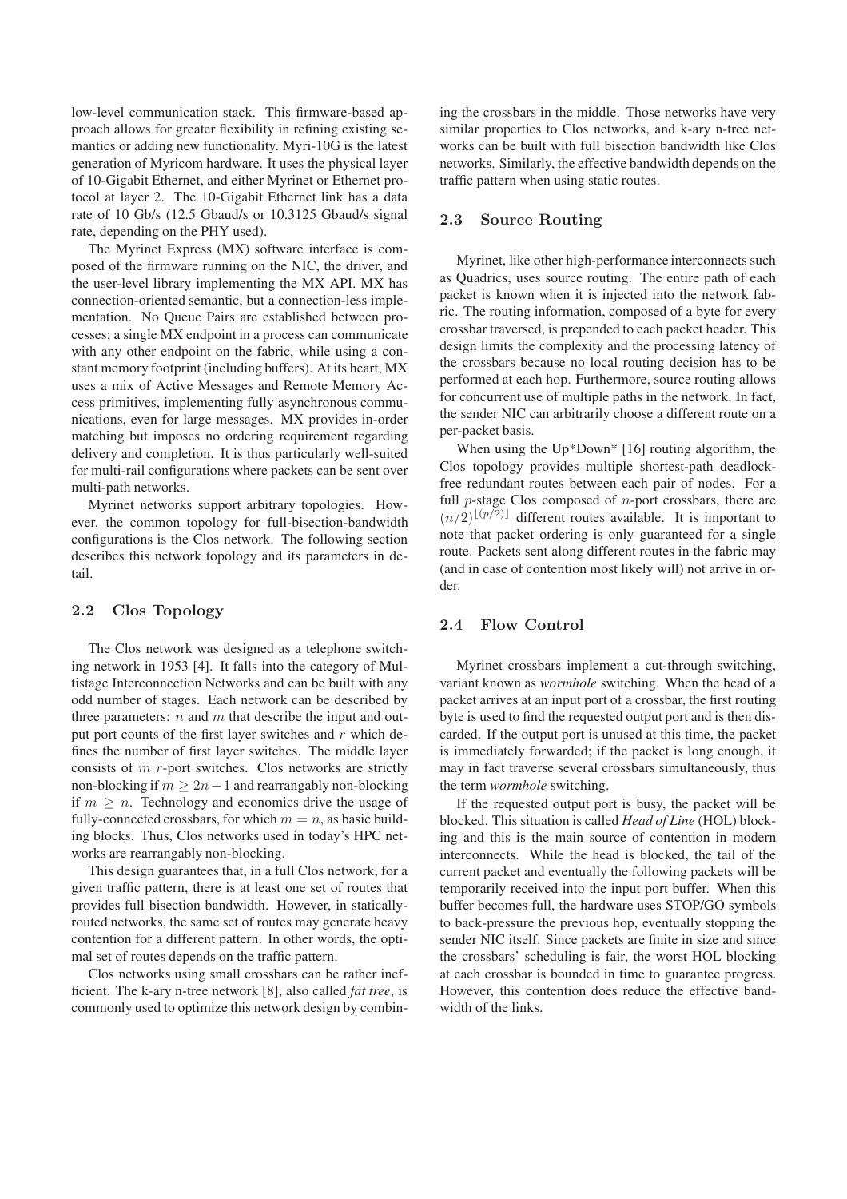low-level communication stack. This firmware-based approach allows for greater flexibility in refining existing semantics or adding new functionality. Myri-10G is the latest generation of Myricom hardware. It uses the physical layer of 10-Gigabit Ethernet, and either Myrinet or Ethernet protocol at layer 2. The 10-Gigabit Ethernet link has a data rate of 10 Gb/s (12.5 Gbaud/s or 10.3125 Gbaud/s signal rate, depending on the PHY used).

The Myrinet Express (MX) software interface is composed of the firmware running on the NIC, the driver, and the user-level library implementing the MX API. MX has connection-oriented semantic, but a connection-less implementation. No Queue Pairs are established between processes; a single MX endpoint in a process can communicate with any other endpoint on the fabric, while using a constant memory footprint (including buffers). At its heart, MX uses a mix of Active Messages and Remote Memory Access primitives, implementing fully asynchronous communications, even for large messages. MX provides in-order matching but imposes no ordering requirement regarding delivery and completion. It is thus particularly well-suited for multi-rail configurations where packets can be sent over multi-path networks.

Myrinet networks support arbitrary topologies. However, the common topology for full-bisection-bandwidth configurations is the Clos network. The following section describes this network topology and its parameters in detail.

### 2.2 Clos Topology

The Clos network was designed as a telephone switching network in 1953 [4]. It falls into the category of Multistage Interconnection Networks and can be built with any odd number of stages. Each network can be described by three parameters:  $n$  and  $m$  that describe the input and output port counts of the first layer switches and  $r$  which defines the number of first layer switches. The middle layer consists of  $m$  r-port switches. Clos networks are strictly non-blocking if  $m \geq 2n-1$  and rearrangably non-blocking if  $m \geq n$ . Technology and economics drive the usage of fully-connected crossbars, for which  $m = n$ , as basic building blocks. Thus, Clos networks used in today's HPC networks are rearrangably non-blocking.

This design guarantees that, in a full Clos network, for a given traffic pattern, there is at least one set of routes that provides full bisection bandwidth. However, in staticallyrouted networks, the same set of routes may generate heavy contention for a different pattern. In other words, the optimal set of routes depends on the traffic pattern.

Clos networks using small crossbars can be rather inefficient. The k-ary n-tree network [8], also called *fat tree*, is commonly used to optimize this network design by combining the crossbars in the middle. Those networks have very similar properties to Clos networks, and k-ary n-tree networks can be built with full bisection bandwidth like Clos networks. Similarly, the effective bandwidth depends on the traffic pattern when using static routes.

### 2.3 Source Routing

Myrinet, like other high-performance interconnects such as Quadrics, uses source routing. The entire path of each packet is known when it is injected into the network fabric. The routing information, composed of a byte for every crossbar traversed, is prepended to each packet header. This design limits the complexity and the processing latency of the crossbars because no local routing decision has to be performed at each hop. Furthermore, source routing allows for concurrent use of multiple paths in the network. In fact, the sender NIC can arbitrarily choose a different route on a per-packet basis.

When using the Up\*Down\* [16] routing algorithm, the Clos topology provides multiple shortest-path deadlockfree redundant routes between each pair of nodes. For a full  $p$ -stage Clos composed of  $n$ -port crossbars, there are  $(n/2)^{\lfloor (p/2)\rfloor}$  different routes available. It is important to note that packet ordering is only guaranteed for a single route. Packets sent along different routes in the fabric may (and in case of contention most likely will) not arrive in order.

### 2.4 Flow Control

Myrinet crossbars implement a cut-through switching, variant known as *wormhole* switching. When the head of a packet arrives at an input port of a crossbar, the first routing byte is used to find the requested output port and is then discarded. If the output port is unused at this time, the packet is immediately forwarded; if the packet is long enough, it may in fact traverse several crossbars simultaneously, thus the term *wormhole* switching.

If the requested output port is busy, the packet will be blocked. This situation is called *Head of Line* (HOL) blocking and this is the main source of contention in modern interconnects. While the head is blocked, the tail of the current packet and eventually the following packets will be temporarily received into the input port buffer. When this buffer becomes full, the hardware uses STOP/GO symbols to back-pressure the previous hop, eventually stopping the sender NIC itself. Since packets are finite in size and since the crossbars' scheduling is fair, the worst HOL blocking at each crossbar is bounded in time to guarantee progress. However, this contention does reduce the effective bandwidth of the links.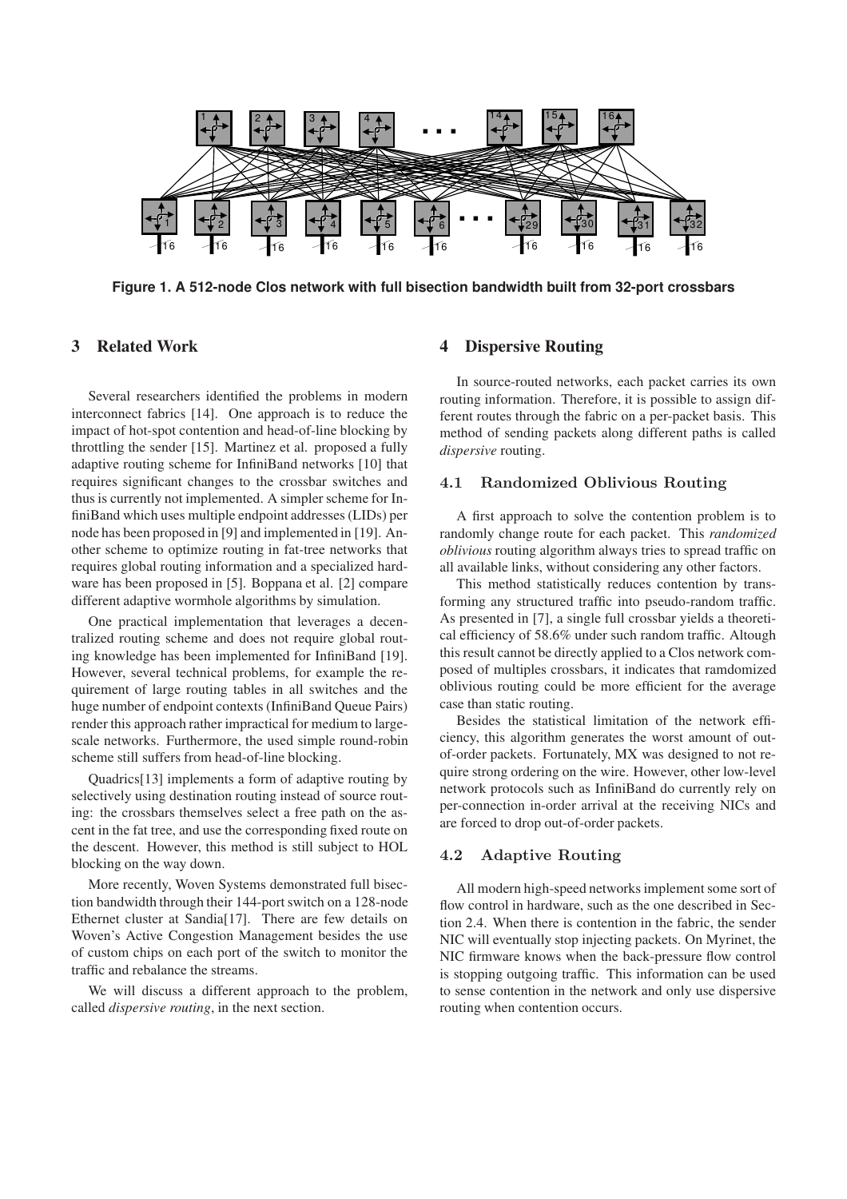

**Figure 1. A 512-node Clos network with full bisection bandwidth built from 32-port crossbars**

## **3 Related Work**

Several researchers identified the problems in modern interconnect fabrics [14]. One approach is to reduce the impact of hot-spot contention and head-of-line blocking by throttling the sender [15]. Martinez et al. proposed a fully adaptive routing scheme for InfiniBand networks [10] that requires significant changes to the crossbar switches and thus is currently not implemented. A simpler scheme for InfiniBand which uses multiple endpoint addresses (LIDs) per node has been proposed in [9] and implemented in [19]. Another scheme to optimize routing in fat-tree networks that requires global routing information and a specialized hardware has been proposed in [5]. Boppana et al. [2] compare different adaptive wormhole algorithms by simulation.

One practical implementation that leverages a decentralized routing scheme and does not require global routing knowledge has been implemented for InfiniBand [19]. However, several technical problems, for example the requirement of large routing tables in all switches and the huge number of endpoint contexts (InfiniBand Queue Pairs) render this approach rather impractical for medium to largescale networks. Furthermore, the used simple round-robin scheme still suffers from head-of-line blocking.

Quadrics[13] implements a form of adaptive routing by selectively using destination routing instead of source routing: the crossbars themselves select a free path on the ascent in the fat tree, and use the corresponding fixed route on the descent. However, this method is still subject to HOL blocking on the way down.

More recently, Woven Systems demonstrated full bisection bandwidth through their 144-port switch on a 128-node Ethernet cluster at Sandia[17]. There are few details on Woven's Active Congestion Management besides the use of custom chips on each port of the switch to monitor the traffic and rebalance the streams.

We will discuss a different approach to the problem, called *dispersive routing*, in the next section.

## **4 Dispersive Routing**

In source-routed networks, each packet carries its own routing information. Therefore, it is possible to assign different routes through the fabric on a per-packet basis. This method of sending packets along different paths is called *dispersive* routing.

### 4.1 Randomized Oblivious Routing

A first approach to solve the contention problem is to randomly change route for each packet. This *randomized oblivious* routing algorithm always tries to spread traffic on all available links, without considering any other factors.

This method statistically reduces contention by transforming any structured traffic into pseudo-random traffic. As presented in [7], a single full crossbar yields a theoretical efficiency of 58.6% under such random traffic. Altough this result cannot be directly applied to a Clos network composed of multiples crossbars, it indicates that ramdomized oblivious routing could be more efficient for the average case than static routing.

Besides the statistical limitation of the network efficiency, this algorithm generates the worst amount of outof-order packets. Fortunately, MX was designed to not require strong ordering on the wire. However, other low-level network protocols such as InfiniBand do currently rely on per-connection in-order arrival at the receiving NICs and are forced to drop out-of-order packets.

## 4.2 Adaptive Routing

All modern high-speed networks implement some sort of flow control in hardware, such as the one described in Section 2.4. When there is contention in the fabric, the sender NIC will eventually stop injecting packets. On Myrinet, the NIC firmware knows when the back-pressure flow control is stopping outgoing traffic. This information can be used to sense contention in the network and only use dispersive routing when contention occurs.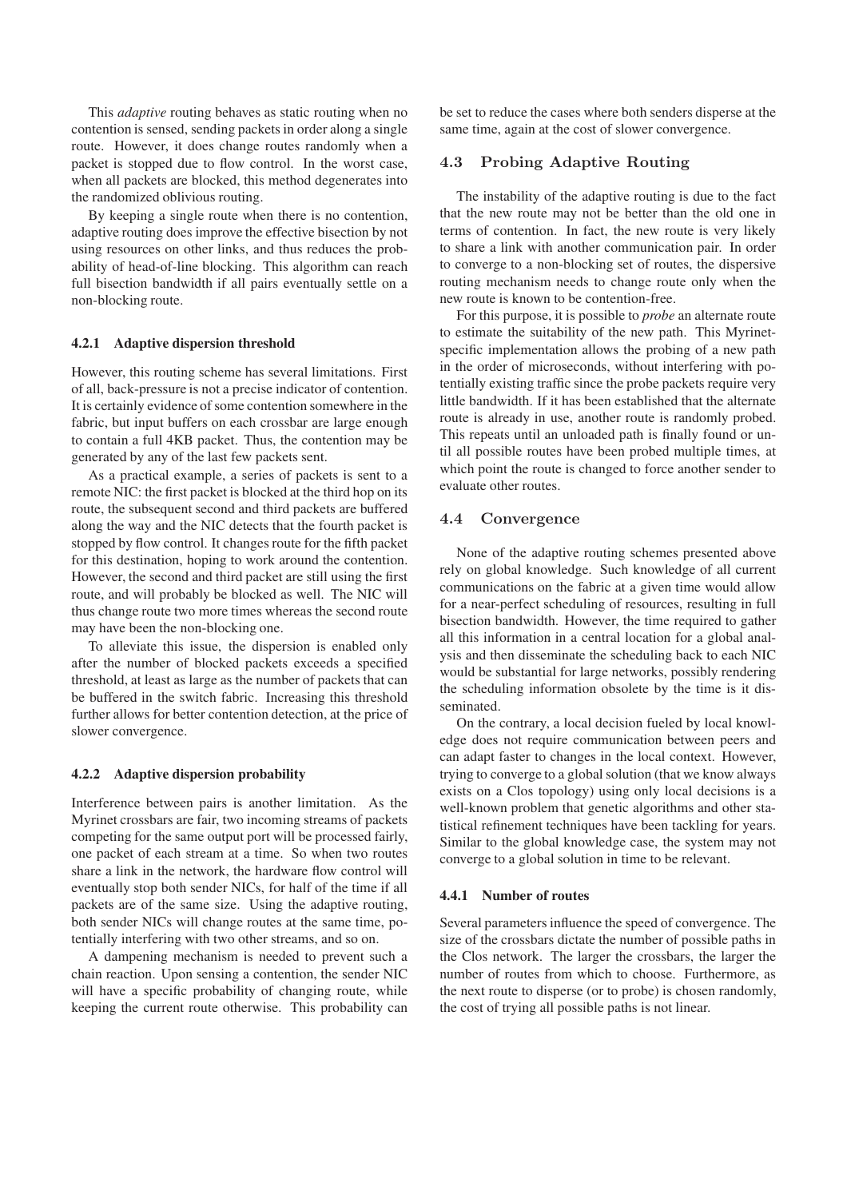This *adaptive* routing behaves as static routing when no contention is sensed, sending packets in order along a single route. However, it does change routes randomly when a packet is stopped due to flow control. In the worst case, when all packets are blocked, this method degenerates into the randomized oblivious routing.

By keeping a single route when there is no contention, adaptive routing does improve the effective bisection by not using resources on other links, and thus reduces the probability of head-of-line blocking. This algorithm can reach full bisection bandwidth if all pairs eventually settle on a non-blocking route.

### **4.2.1 Adaptive dispersion threshold**

However, this routing scheme has several limitations. First of all, back-pressure is not a precise indicator of contention. It is certainly evidence of some contention somewhere in the fabric, but input buffers on each crossbar are large enough to contain a full 4KB packet. Thus, the contention may be generated by any of the last few packets sent.

As a practical example, a series of packets is sent to a remote NIC: the first packet is blocked at the third hop on its route, the subsequent second and third packets are buffered along the way and the NIC detects that the fourth packet is stopped by flow control. It changes route for the fifth packet for this destination, hoping to work around the contention. However, the second and third packet are still using the first route, and will probably be blocked as well. The NIC will thus change route two more times whereas the second route may have been the non-blocking one.

To alleviate this issue, the dispersion is enabled only after the number of blocked packets exceeds a specified threshold, at least as large as the number of packets that can be buffered in the switch fabric. Increasing this threshold further allows for better contention detection, at the price of slower convergence.

#### **4.2.2 Adaptive dispersion probability**

Interference between pairs is another limitation. As the Myrinet crossbars are fair, two incoming streams of packets competing for the same output port will be processed fairly, one packet of each stream at a time. So when two routes share a link in the network, the hardware flow control will eventually stop both sender NICs, for half of the time if all packets are of the same size. Using the adaptive routing, both sender NICs will change routes at the same time, potentially interfering with two other streams, and so on.

A dampening mechanism is needed to prevent such a chain reaction. Upon sensing a contention, the sender NIC will have a specific probability of changing route, while keeping the current route otherwise. This probability can be set to reduce the cases where both senders disperse at the same time, again at the cost of slower convergence.

## 4.3 Probing Adaptive Routing

The instability of the adaptive routing is due to the fact that the new route may not be better than the old one in terms of contention. In fact, the new route is very likely to share a link with another communication pair. In order to converge to a non-blocking set of routes, the dispersive routing mechanism needs to change route only when the new route is known to be contention-free.

For this purpose, it is possible to *probe* an alternate route to estimate the suitability of the new path. This Myrinetspecific implementation allows the probing of a new path in the order of microseconds, without interfering with potentially existing traffic since the probe packets require very little bandwidth. If it has been established that the alternate route is already in use, another route is randomly probed. This repeats until an unloaded path is finally found or until all possible routes have been probed multiple times, at which point the route is changed to force another sender to evaluate other routes.

### 4.4 Convergence

None of the adaptive routing schemes presented above rely on global knowledge. Such knowledge of all current communications on the fabric at a given time would allow for a near-perfect scheduling of resources, resulting in full bisection bandwidth. However, the time required to gather all this information in a central location for a global analysis and then disseminate the scheduling back to each NIC would be substantial for large networks, possibly rendering the scheduling information obsolete by the time is it disseminated.

On the contrary, a local decision fueled by local knowledge does not require communication between peers and can adapt faster to changes in the local context. However, trying to converge to a global solution (that we know always exists on a Clos topology) using only local decisions is a well-known problem that genetic algorithms and other statistical refinement techniques have been tackling for years. Similar to the global knowledge case, the system may not converge to a global solution in time to be relevant.

### **4.4.1 Number of routes**

Several parameters influence the speed of convergence. The size of the crossbars dictate the number of possible paths in the Clos network. The larger the crossbars, the larger the number of routes from which to choose. Furthermore, as the next route to disperse (or to probe) is chosen randomly, the cost of trying all possible paths is not linear.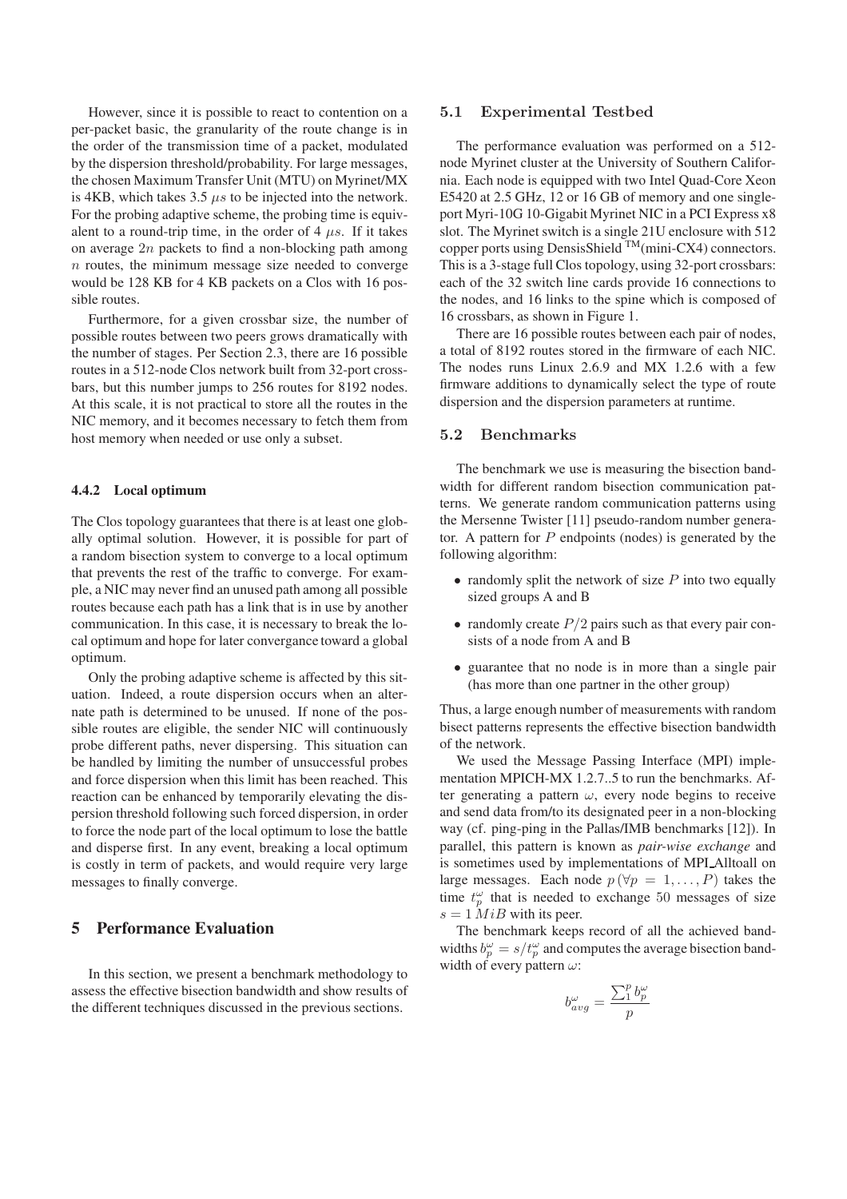However, since it is possible to react to contention on a per-packet basic, the granularity of the route change is in the order of the transmission time of a packet, modulated by the dispersion threshold/probability. For large messages, the chosen Maximum Transfer Unit (MTU) on Myrinet/MX is 4KB, which takes 3.5  $\mu s$  to be injected into the network. For the probing adaptive scheme, the probing time is equivalent to a round-trip time, in the order of 4  $\mu$ s. If it takes on average  $2n$  packets to find a non-blocking path among n routes, the minimum message size needed to converge would be 128 KB for 4 KB packets on a Clos with 16 possible routes.

Furthermore, for a given crossbar size, the number of possible routes between two peers grows dramatically with the number of stages. Per Section 2.3, there are 16 possible routes in a 512-node Clos network built from 32-port crossbars, but this number jumps to 256 routes for 8192 nodes. At this scale, it is not practical to store all the routes in the NIC memory, and it becomes necessary to fetch them from host memory when needed or use only a subset.

#### **4.4.2 Local optimum**

The Clos topology guarantees that there is at least one globally optimal solution. However, it is possible for part of a random bisection system to converge to a local optimum that prevents the rest of the traffic to converge. For example, a NIC may never find an unused path among all possible routes because each path has a link that is in use by another communication. In this case, it is necessary to break the local optimum and hope for later convergance toward a global optimum.

Only the probing adaptive scheme is affected by this situation. Indeed, a route dispersion occurs when an alternate path is determined to be unused. If none of the possible routes are eligible, the sender NIC will continuously probe different paths, never dispersing. This situation can be handled by limiting the number of unsuccessful probes and force dispersion when this limit has been reached. This reaction can be enhanced by temporarily elevating the dispersion threshold following such forced dispersion, in order to force the node part of the local optimum to lose the battle and disperse first. In any event, breaking a local optimum is costly in term of packets, and would require very large messages to finally converge.

## **5 Performance Evaluation**

In this section, we present a benchmark methodology to assess the effective bisection bandwidth and show results of the different techniques discussed in the previous sections.

### 5.1 Experimental Testbed

The performance evaluation was performed on a 512 node Myrinet cluster at the University of Southern California. Each node is equipped with two Intel Quad-Core Xeon E5420 at 2.5 GHz, 12 or 16 GB of memory and one singleport Myri-10G 10-Gigabit Myrinet NIC in a PCI Express x8 slot. The Myrinet switch is a single 21U enclosure with 512 copper ports using DensisShield TM(mini-CX4) connectors. This is a 3-stage full Clos topology, using 32-port crossbars: each of the 32 switch line cards provide 16 connections to the nodes, and 16 links to the spine which is composed of 16 crossbars, as shown in Figure 1.

There are 16 possible routes between each pair of nodes, a total of 8192 routes stored in the firmware of each NIC. The nodes runs Linux 2.6.9 and MX 1.2.6 with a few firmware additions to dynamically select the type of route dispersion and the dispersion parameters at runtime.

#### 5.2 Benchmarks

The benchmark we use is measuring the bisection bandwidth for different random bisection communication patterns. We generate random communication patterns using the Mersenne Twister [11] pseudo-random number generator. A pattern for  $P$  endpoints (nodes) is generated by the following algorithm:

- randomly split the network of size  $P$  into two equally sized groups A and B
- randomly create  $P/2$  pairs such as that every pair consists of a node from A and B
- guarantee that no node is in more than a single pair (has more than one partner in the other group)

Thus, a large enough number of measurements with random bisect patterns represents the effective bisection bandwidth of the network.

We used the Message Passing Interface (MPI) implementation MPICH-MX 1.2.7..5 to run the benchmarks. After generating a pattern  $\omega$ , every node begins to receive and send data from/to its designated peer in a non-blocking way (cf. ping-ping in the Pallas/IMB benchmarks [12]). In parallel, this pattern is known as *pair-wise exchange* and is sometimes used by implementations of MPI\_Alltoall on large messages. Each node  $p(\forall p = 1, ..., P)$  takes the time  $t_p^{\omega}$  that is needed to exchange 50 messages of size  $s = 1$  MiB with its peer.

The benchmark keeps record of all the achieved bandwidths  $b_p^{\omega} = s/t_p^{\omega}$  and computes the average bisection bandwidth of every pattern  $\omega$ :

$$
b_{avg}^{\omega} = \frac{\sum_{1}^{p} b_p^{\omega}}{p}
$$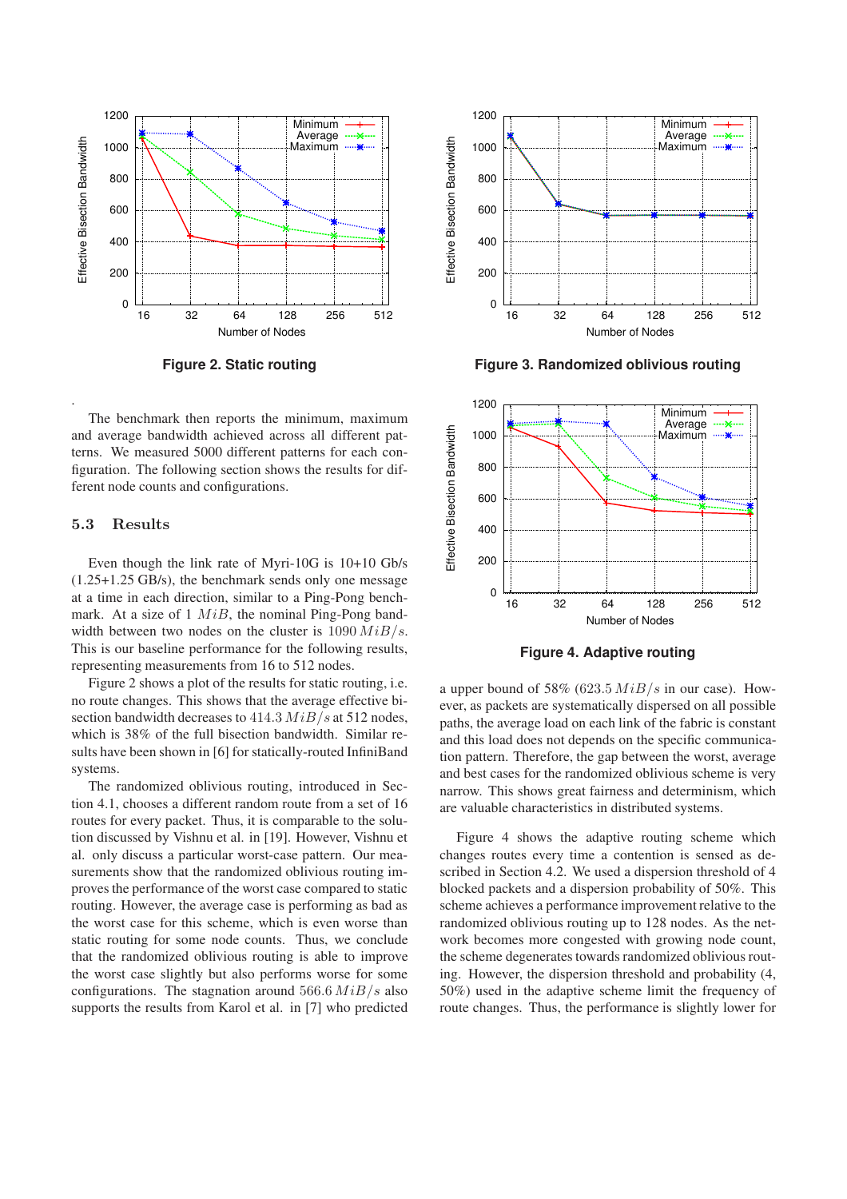

**Figure 2. Static routing**

The benchmark then reports the minimum, maximum and average bandwidth achieved across all different patterns. We measured 5000 different patterns for each configuration. The following section shows the results for different node counts and configurations.

## 5.3 Results

.

Even though the link rate of Myri-10G is 10+10 Gb/s (1.25+1.25 GB/s), the benchmark sends only one message at a time in each direction, similar to a Ping-Pong benchmark. At a size of 1  $MiB$ , the nominal Ping-Pong bandwidth between two nodes on the cluster is  $1090$   $MiB/s$ . This is our baseline performance for the following results, representing measurements from 16 to 512 nodes.

Figure 2 shows a plot of the results for static routing, i.e. no route changes. This shows that the average effective bisection bandwidth decreases to  $414.3$   $MiB/s$  at 512 nodes, which is 38% of the full bisection bandwidth. Similar results have been shown in [6] for statically-routed InfiniBand systems.

The randomized oblivious routing, introduced in Section 4.1, chooses a different random route from a set of 16 routes for every packet. Thus, it is comparable to the solution discussed by Vishnu et al. in [19]. However, Vishnu et al. only discuss a particular worst-case pattern. Our measurements show that the randomized oblivious routing improves the performance of the worst case compared to static routing. However, the average case is performing as bad as the worst case for this scheme, which is even worse than static routing for some node counts. Thus, we conclude that the randomized oblivious routing is able to improve the worst case slightly but also performs worse for some configurations. The stagnation around 566.6  $MiB/s$  also supports the results from Karol et al. in [7] who predicted



**Figure 3. Randomized oblivious routing**



**Figure 4. Adaptive routing**

a upper bound of 58% (623.5  $MiB/s$  in our case). However, as packets are systematically dispersed on all possible paths, the average load on each link of the fabric is constant and this load does not depends on the specific communication pattern. Therefore, the gap between the worst, average and best cases for the randomized oblivious scheme is very narrow. This shows great fairness and determinism, which are valuable characteristics in distributed systems.

Figure 4 shows the adaptive routing scheme which changes routes every time a contention is sensed as described in Section 4.2. We used a dispersion threshold of 4 blocked packets and a dispersion probability of 50%. This scheme achieves a performance improvement relative to the randomized oblivious routing up to 128 nodes. As the network becomes more congested with growing node count, the scheme degenerates towards randomized oblivious routing. However, the dispersion threshold and probability (4, 50%) used in the adaptive scheme limit the frequency of route changes. Thus, the performance is slightly lower for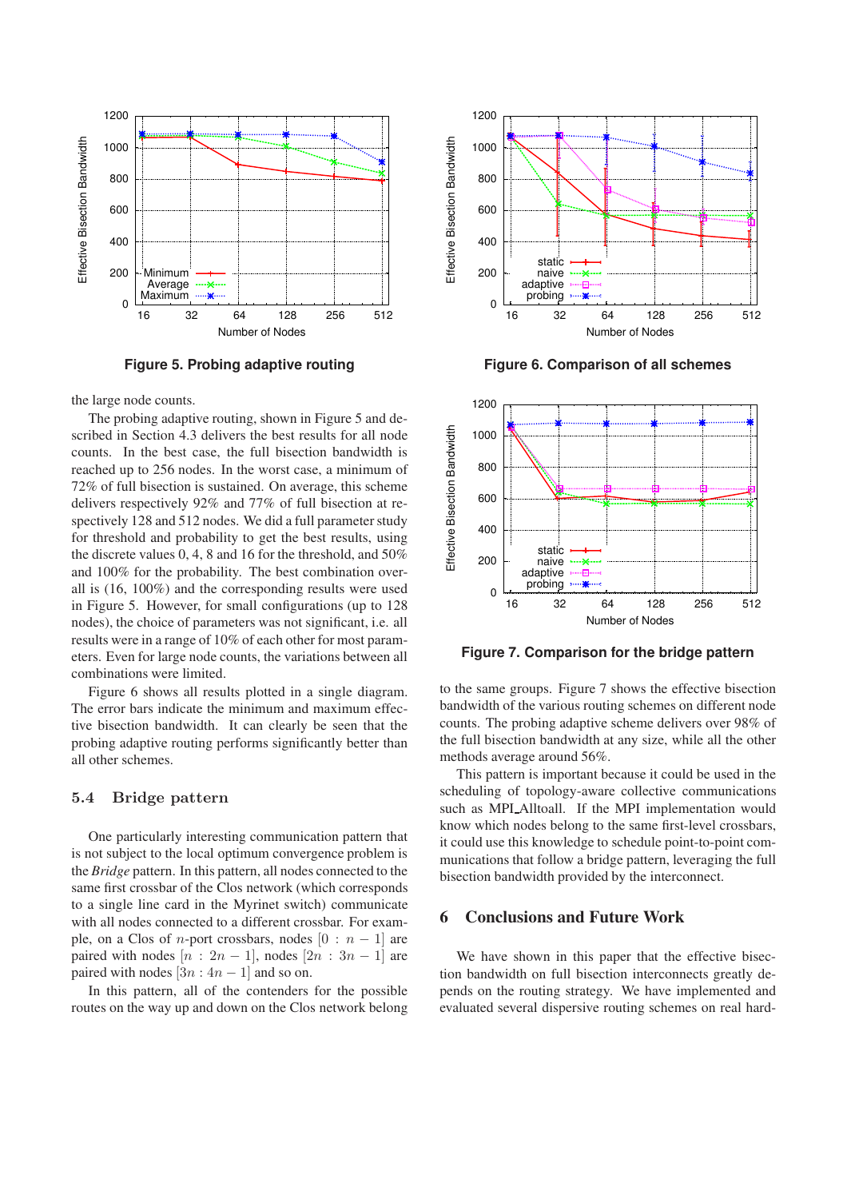

**Figure 5. Probing adaptive routing**

the large node counts.

The probing adaptive routing, shown in Figure 5 and described in Section 4.3 delivers the best results for all node counts. In the best case, the full bisection bandwidth is reached up to 256 nodes. In the worst case, a minimum of 72% of full bisection is sustained. On average, this scheme delivers respectively 92% and 77% of full bisection at respectively 128 and 512 nodes. We did a full parameter study for threshold and probability to get the best results, using the discrete values 0, 4, 8 and 16 for the threshold, and 50% and 100% for the probability. The best combination overall is (16, 100%) and the corresponding results were used in Figure 5. However, for small configurations (up to 128 nodes), the choice of parameters was not significant, i.e. all results were in a range of 10% of each other for most parameters. Even for large node counts, the variations between all combinations were limited.

Figure 6 shows all results plotted in a single diagram. The error bars indicate the minimum and maximum effective bisection bandwidth. It can clearly be seen that the probing adaptive routing performs significantly better than all other schemes.

### 5.4 Bridge pattern

One particularly interesting communication pattern that is not subject to the local optimum convergence problem is the *Bridge* pattern. In this pattern, all nodes connected to the same first crossbar of the Clos network (which corresponds to a single line card in the Myrinet switch) communicate with all nodes connected to a different crossbar. For example, on a Clos of *n*-port crossbars, nodes  $[0 : n - 1]$  are paired with nodes  $[n: 2n-1]$ , nodes  $[2n: 3n-1]$  are paired with nodes  $[3n : 4n - 1]$  and so on.

In this pattern, all of the contenders for the possible routes on the way up and down on the Clos network belong



**Figure 6. Comparison of all schemes**



**Figure 7. Comparison for the bridge pattern**

to the same groups. Figure 7 shows the effective bisection bandwidth of the various routing schemes on different node counts. The probing adaptive scheme delivers over 98% of the full bisection bandwidth at any size, while all the other methods average around 56%.

This pattern is important because it could be used in the scheduling of topology-aware collective communications such as MPI\_Alltoall. If the MPI implementation would know which nodes belong to the same first-level crossbars, it could use this knowledge to schedule point-to-point communications that follow a bridge pattern, leveraging the full bisection bandwidth provided by the interconnect.

## **6 Conclusions and Future Work**

We have shown in this paper that the effective bisection bandwidth on full bisection interconnects greatly depends on the routing strategy. We have implemented and evaluated several dispersive routing schemes on real hard